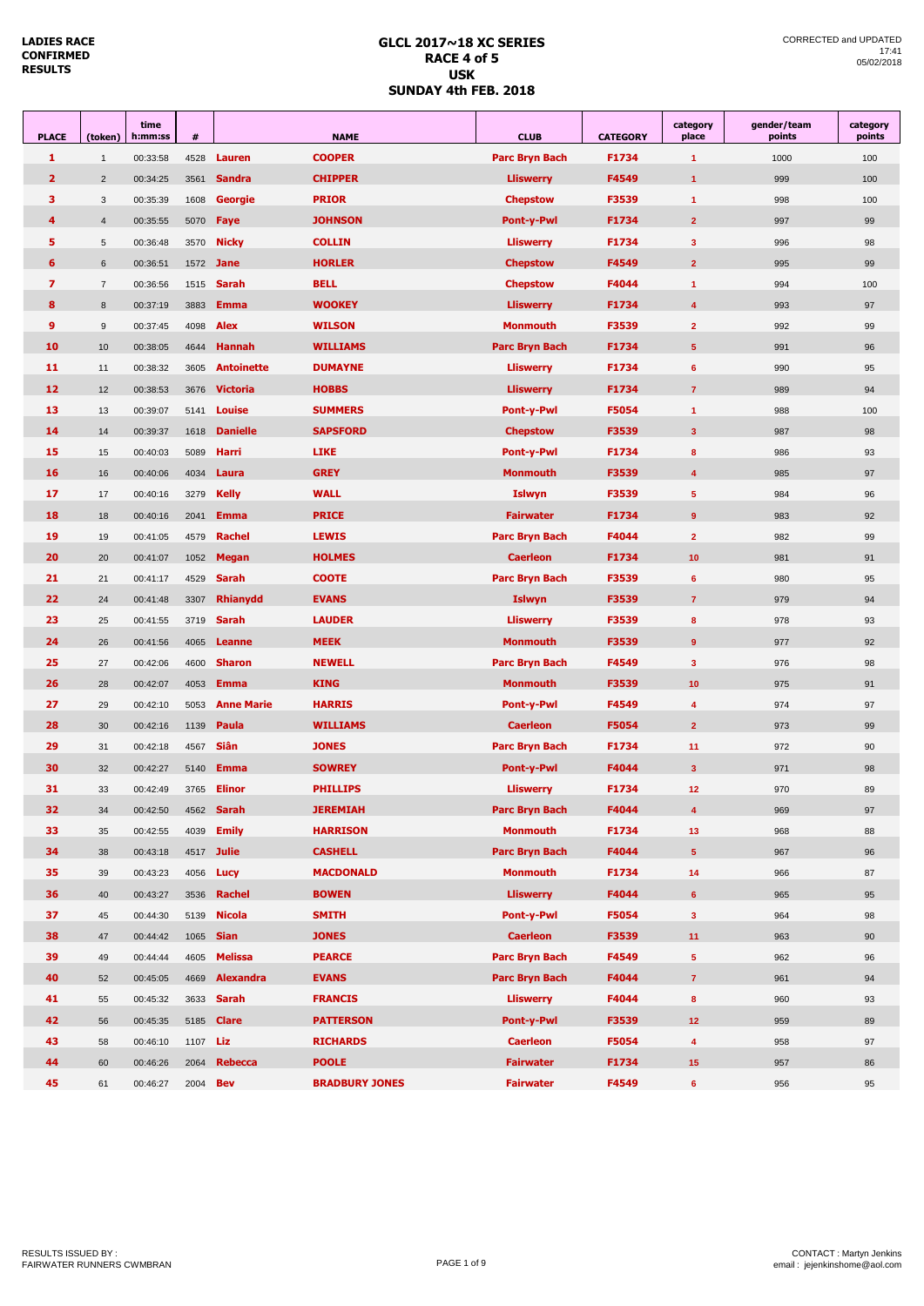#### **GLCL 2017~18 XC SERIES RACE 4 of 5 USK SUNDAY 4th FEB. 2018**

| <b>PLACE</b>      | (token)        | time<br>h:mm:ss | $\pmb{\#}$      |                   | <b>NAME</b>           | <b>CLUB</b>           | <b>CATEGORY</b> | category<br>place       | gender/team<br>points | category<br>points |
|-------------------|----------------|-----------------|-----------------|-------------------|-----------------------|-----------------------|-----------------|-------------------------|-----------------------|--------------------|
| $\mathbf{1}$      | $\mathbf{1}$   | 00:33:58        | 4528            | Lauren            | <b>COOPER</b>         | <b>Parc Bryn Bach</b> | F1734           | $\overline{1}$          | 1000                  | 100                |
| $\overline{2}$    | $\overline{2}$ | 00:34:25        | 3561            | <b>Sandra</b>     | <b>CHIPPER</b>        | <b>Lliswerry</b>      | F4549           | $\overline{1}$          | 999                   | 100                |
| 3.                | $\mathbf{3}$   | 00:35:39        | 1608            | <b>Georgie</b>    | <b>PRIOR</b>          | <b>Chepstow</b>       | F3539           | $\blacktriangleleft$    | 998                   | 100                |
| 4                 | $\overline{4}$ | 00:35:55        | 5070            | Faye              | <b>JOHNSON</b>        | <b>Pont-v-Pwl</b>     | F1734           | $\overline{2}$          | 997                   | 99                 |
| 5.                | $\sqrt{5}$     | 00:36:48        | 3570            | <b>Nicky</b>      | <b>COLLIN</b>         | <b>Lliswerry</b>      | F1734           | $\overline{\mathbf{3}}$ | 996                   | 98                 |
| 6                 | 6              | 00:36:51        | 1572            | Jane              | <b>HORLER</b>         | <b>Chepstow</b>       | F4549           | $\overline{2}$          | 995                   | 99                 |
| $\overline{ }$    | $\overline{7}$ | 00:36:56        | 1515            | <b>Sarah</b>      | <b>BELL</b>           | <b>Chepstow</b>       | F4044           | $\mathbf{1}$            | 994                   | 100                |
| 8                 | 8              | 00:37:19        | 3883            | <b>Emma</b>       | <b>WOOKEY</b>         | <b>Lliswerry</b>      | F1734           | $\overline{4}$          | 993                   | 97                 |
| 9                 | $9\,$          | 00:37:45        | 4098            | <b>Alex</b>       | <b>WILSON</b>         | <b>Monmouth</b>       | F3539           | $\overline{2}$          | 992                   | 99                 |
| 10                | 10             | 00:38:05        | 4644            | <b>Hannah</b>     | <b>WILLIAMS</b>       | Parc Bryn Bach        | F1734           | $5\phantom{.0}$         | 991                   | 96                 |
| 11                | 11             | 00:38:32        | 3605            | <b>Antoinette</b> | <b>DUMAYNE</b>        | <b>Lliswerry</b>      | F1734           | 6                       | 990                   | 95                 |
| $12 \overline{ }$ | 12             | 00:38:53        | 3676            | <b>Victoria</b>   | <b>HOBBS</b>          | <b>Lliswerry</b>      | F1734           | $\overline{7}$          | 989                   | 94                 |
| 13                | 13             | 00:39:07        | 5141            | Louise            | <b>SUMMERS</b>        | <b>Pont-y-Pwl</b>     | F5054           | $\blacktriangleleft$    | 988                   | 100                |
| 14                | 14             | 00:39:37        | 1618            | <b>Danielle</b>   | <b>SAPSFORD</b>       | <b>Chepstow</b>       | F3539           | $\overline{\mathbf{3}}$ | 987                   | 98                 |
| 15                | 15             | 00:40:03        | 5089            | <b>Harri</b>      | <b>LIKE</b>           | <b>Pont-y-Pwl</b>     | F1734           | 8                       | 986                   | 93                 |
| 16                | 16             | 00:40:06        | 4034            | Laura             | <b>GREY</b>           | <b>Monmouth</b>       | F3539           | $\overline{4}$          | 985                   | 97                 |
| 17                | 17             | 00:40:16        | 3279            | <b>Kelly</b>      | <b>WALL</b>           | <b>Islwyn</b>         | F3539           | $5\phantom{.0}$         | 984                   | 96                 |
| 18                | 18             | 00:40:16        | 2041            | <b>Emma</b>       | <b>PRICE</b>          | <b>Fairwater</b>      | F1734           | 9                       | 983                   | 92                 |
| 19                | 19             | 00:41:05        | 4579            | Rachel            | <b>LEWIS</b>          | <b>Parc Bryn Bach</b> | F4044           | $\overline{2}$          | 982                   | 99                 |
| 20                | 20             | 00:41:07        | 1052            | <b>Megan</b>      | <b>HOLMES</b>         | <b>Caerleon</b>       | F1734           | 10                      | 981                   | 91                 |
| 21                | 21             | 00:41:17        | 4529            | <b>Sarah</b>      | <b>COOTE</b>          | <b>Parc Bryn Bach</b> | F3539           | $6\phantom{1}$          | 980                   | 95                 |
| 22                | 24             | 00:41:48        | 3307            | <b>Rhianydd</b>   | <b>EVANS</b>          | <b>Islwyn</b>         | F3539           | $\overline{7}$          | 979                   | 94                 |
| 23                | 25             | 00:41:55        | 3719            | <b>Sarah</b>      | <b>LAUDER</b>         | <b>Lliswerry</b>      | F3539           | 8                       | 978                   | 93                 |
| 24                | 26             | 00:41:56        | 4065            | Leanne            | <b>MEEK</b>           | <b>Monmouth</b>       | F3539           | 9                       | 977                   | 92                 |
| 25                | 27             | 00:42:06        | 4600            | <b>Sharon</b>     | <b>NEWELL</b>         | <b>Parc Bryn Bach</b> | F4549           | $\overline{\mathbf{3}}$ | 976                   | 98                 |
| 26                | 28             | 00:42:07        | 4053            | <b>Emma</b>       | <b>KING</b>           | <b>Monmouth</b>       | F3539           | 10 <sub>1</sub>         | 975                   | 91                 |
| 27                | 29             | 00:42:10        | 5053            | <b>Anne Marie</b> | <b>HARRIS</b>         | <b>Pont-y-Pwl</b>     | F4549           | 4                       | 974                   | 97                 |
| 28                | 30             | 00:42:16        | 1139            | Paula             | <b>WILLIAMS</b>       | <b>Caerleon</b>       | <b>F5054</b>    | $\overline{2}$          | 973                   | 99                 |
| 29                | 31             | 00:42:18        | 4567            | Siân              | <b>JONES</b>          | Parc Bryn Bach        | F1734           | 11                      | 972                   | 90                 |
| 30                | 32             | 00:42:27        | 5140            | <b>Emma</b>       | <b>SOWREY</b>         | <b>Pont-y-Pwl</b>     | F4044           | $\overline{\mathbf{3}}$ | 971                   | 98                 |
| 31                | 33             | 00:42:49        | 3765            | <b>Elinor</b>     | <b>PHILLIPS</b>       | <b>Lliswerry</b>      | F1734           | 12 <sub>2</sub>         | 970                   | 89                 |
| 32                | 34             | 00:42:50        | 4562            | <b>Sarah</b>      | <b>JEREMIAH</b>       | <b>Parc Bryn Bach</b> | F4044           | $\overline{4}$          | 969                   | 97                 |
| 33                | 35             | 00:42:55        | 4039            | <b>Emily</b>      | <b>HARRISON</b>       | <b>Monmouth</b>       | F1734           | 13                      | 968                   | 88                 |
| 34                | 38             | 00:43:18        |                 | 4517 Julie        | <b>CASHELL</b>        | Parc Bryn Bach        | F4044           | $\sqrt{5}$              | 967                   | 96                 |
| 35                | 39             | 00:43:23        | 4056            | Lucy              | <b>MACDONALD</b>      | <b>Monmouth</b>       | F1734           | 14                      | 966                   | 87                 |
| 36                | 40             | 00:43:27        | 3536            | Rachel            | <b>BOWEN</b>          | <b>Lliswerry</b>      | F4044           | $6\phantom{a}$          | 965                   | 95                 |
| 37                | 45             | 00:44:30        | 5139            | <b>Nicola</b>     | <b>SMITH</b>          | Pont-y-Pwl            | F5054           | $\mathbf{3}$            | 964                   | 98                 |
| 38                | 47             | 00:44:42        | 1065            | <b>Sian</b>       | <b>JONES</b>          | <b>Caerleon</b>       | F3539           | 11 <sub>1</sub>         | 963                   | 90                 |
| 39                | 49             | 00:44:44        | 4605            | <b>Melissa</b>    | <b>PEARCE</b>         | Parc Bryn Bach        | F4549           | $5\phantom{.0}$         | 962                   | 96                 |
| 40                | 52             | 00:45:05        | 4669            | <b>Alexandra</b>  | <b>EVANS</b>          | Parc Bryn Bach        | F4044           | $\mathbf{7}$            | 961                   | 94                 |
| 41                | 55             | 00:45:32        | 3633            | Sarah             | <b>FRANCIS</b>        | <b>Lliswerry</b>      | F4044           | $\bf{8}$                | 960                   | 93                 |
| 42                | 56             | 00:45:35        | 5185            | <b>Clare</b>      | <b>PATTERSON</b>      | Pont-y-Pwl            | F3539           | 12 <sub>2</sub>         | 959                   | 89                 |
| 43                | 58             | 00:46:10        | 1107            | Liz               | <b>RICHARDS</b>       | <b>Caerleon</b>       | F5054           | $\overline{\mathbf{4}}$ | 958                   | 97                 |
| 44                | 60             | 00:46:26        | 2064            | <b>Rebecca</b>    | <b>POOLE</b>          | <b>Fairwater</b>      | F1734           | 15 <sub>1</sub>         | 957                   | 86                 |
| 45                | 61             | 00:46:27        | 2004 <b>Bev</b> |                   | <b>BRADBURY JONES</b> | <b>Fairwater</b>      | F4549           | $6\phantom{a}$          | 956                   | 95                 |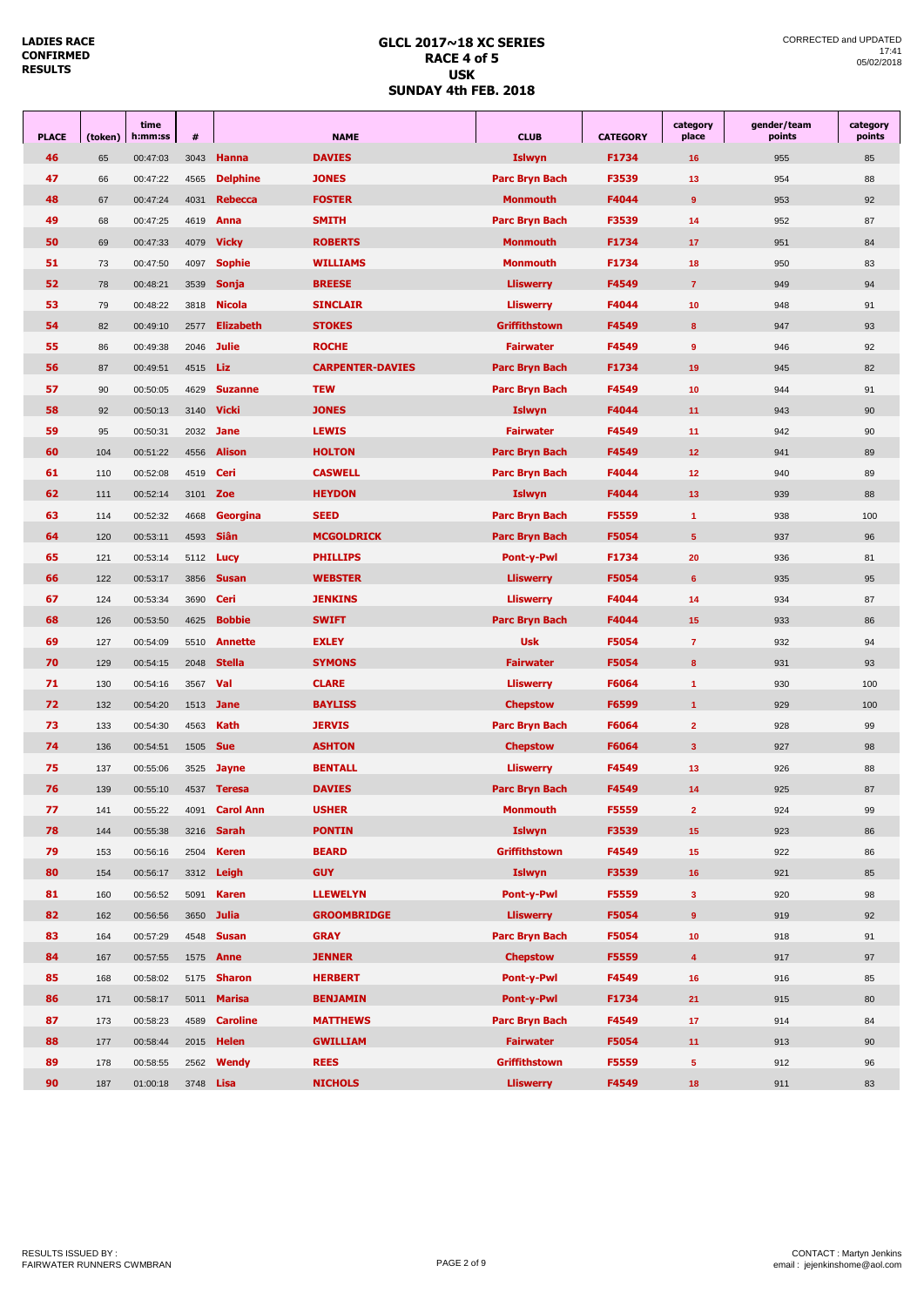#### **GLCL 2017~18 XC SERIES RACE 4 of 5 USK SUNDAY 4th FEB. 2018**

| <b>PLACE</b> | (token) | time<br>h:mm:ss | #                |                       | <b>NAME</b>             | <b>CLUB</b>           | <b>CATEGORY</b> | category<br>place       | gender/team<br>points | category<br>points |
|--------------|---------|-----------------|------------------|-----------------------|-------------------------|-----------------------|-----------------|-------------------------|-----------------------|--------------------|
| 46           | 65      | 00:47:03        | 3043             | Hanna                 | <b>DAVIES</b>           | <b>Islwyn</b>         | F1734           | 16                      | 955                   | 85                 |
| 47           | 66      | 00:47:22        | 4565             | <b>Delphine</b>       | <b>JONES</b>            | Parc Bryn Bach        | F3539           | 13                      | 954                   | 88                 |
| 48           | 67      | 00:47:24        | 4031             | <b>Rebecca</b>        | <b>FOSTER</b>           | Monmouth              | F4044           | 9                       | 953                   | 92                 |
| 49           | 68      | 00:47:25        | 4619             | Anna                  | <b>SMITH</b>            | Parc Bryn Bach        | F3539           | 14                      | 952                   | 87                 |
| 50           | 69      | 00:47:33        | 4079             | <b>Vicky</b>          | <b>ROBERTS</b>          | Monmouth              | F1734           | 17                      | 951                   | 84                 |
| 51           | 73      | 00:47:50        | 4097             | <b>Sophie</b>         | <b>WILLIAMS</b>         | <b>Monmouth</b>       | F1734           | 18                      | 950                   | 83                 |
| 52           | 78      | 00:48:21        | 3539             | Sonja                 | <b>BREESE</b>           | <b>Lliswerry</b>      | F4549           | $\overline{7}$          | 949                   | 94                 |
| 53           | 79      | 00:48:22        | 3818             | <b>Nicola</b>         | <b>SINCLAIR</b>         | <b>Lliswerry</b>      | F4044           | 10                      | 948                   | 91                 |
| 54           | 82      | 00:49:10        | 2577             | <b>Elizabeth</b>      | <b>STOKES</b>           | <b>Griffithstown</b>  | F4549           | 8                       | 947                   | 93                 |
| 55           | 86      | 00:49:38        | 2046             | <b>Julie</b>          | <b>ROCHE</b>            | <b>Fairwater</b>      | F4549           | $\overline{9}$          | 946                   | 92                 |
| 56           | 87      | 00:49:51        | 4515             | Liz                   | <b>CARPENTER-DAVIES</b> | Parc Bryn Bach        | F1734           | 19                      | 945                   | 82                 |
| 57           | 90      | 00:50:05        | 4629             | <b>Suzanne</b>        | <b>TEW</b>              | Parc Bryn Bach        | F4549           | 10                      | 944                   | 91                 |
| 58           | 92      | 00:50:13        | 3140             | <b>Vicki</b>          | <b>JONES</b>            | <b>Islwyn</b>         | F4044           | 11                      | 943                   | 90                 |
| 59           | 95      | 00:50:31        | 2032             | <b>Jane</b>           | <b>LEWIS</b>            | <b>Fairwater</b>      | F4549           | 11                      | 942                   | 90                 |
| 60           | 104     | 00:51:22        | 4556             | <b>Alison</b>         | <b>HOLTON</b>           | Parc Bryn Bach        | F4549           | 12 <sub>2</sub>         | 941                   | 89                 |
| 61           | 110     | 00:52:08        | 4519             | Ceri                  | <b>CASWELL</b>          | Parc Bryn Bach        | F4044           | 12                      | 940                   | 89                 |
| 62           | 111     | 00:52:14        | 3101             | Zoe                   | <b>HEYDON</b>           | <b>Islwyn</b>         | F4044           | 13                      | 939                   | 88                 |
| 63           | 114     | 00:52:32        | 4668             | Georgina              | <b>SEED</b>             | <b>Parc Bryn Bach</b> | F5559           | $\mathbf{1}$            | 938                   | 100                |
| 64           | 120     | 00:53:11        | 4593             | <b>Siân</b>           | <b>MCGOLDRICK</b>       | Parc Bryn Bach        | F5054           | $5\phantom{.0}$         | 937                   | 96                 |
| 65           | 121     | 00:53:14        | 5112             | Lucy                  | <b>PHILLIPS</b>         | <b>Pont-y-Pwl</b>     | F1734           | 20                      | 936                   | 81                 |
| 66           | 122     | 00:53:17        | 3856             | <b>Susan</b>          | <b>WEBSTER</b>          | <b>Lliswerry</b>      | F5054           | 6                       | 935                   | 95                 |
| 67           | 124     | 00:53:34        | 3690             | Ceri                  | <b>JENKINS</b>          | <b>Lliswerry</b>      | F4044           | 14                      | 934                   | 87                 |
| 68           | 126     | 00:53:50        | 4625             | <b>Bobbie</b>         | <b>SWIFT</b>            | Parc Bryn Bach        | F4044           | 15                      | 933                   | 86                 |
| 69           | 127     | 00:54:09        | 5510             | <b>Annette</b>        | <b>EXLEY</b>            | <b>Usk</b>            | F5054           | $\overline{7}$          | 932                   | 94                 |
| 70           | 129     | 00:54:15        | 2048             | <b>Stella</b>         | <b>SYMONS</b>           | <b>Fairwater</b>      | F5054           | 8                       | 931                   | 93                 |
| 71           | 130     | 00:54:16        | 3567             | Val                   | <b>CLARE</b>            | <b>Lliswerry</b>      | F6064           | $\mathbf{1}$            | 930                   | 100                |
| 72           | 132     | 00:54:20        | 1513             | <b>Jane</b>           | <b>BAYLISS</b>          | <b>Chepstow</b>       | F6599           | $\mathbf{1}$            | 929                   | 100                |
| 73           | 133     | 00:54:30        | 4563             | <b>Kath</b>           | <b>JERVIS</b>           | Parc Bryn Bach        | F6064           | $\overline{2}$          | 928                   | 99                 |
| 74           | 136     | 00:54:51        | 1505             | <b>Sue</b>            | <b>ASHTON</b>           | <b>Chepstow</b>       | F6064           | $\overline{\mathbf{3}}$ | 927                   | 98                 |
| 75           | 137     | 00:55:06        | 3525             | Jayne                 | <b>BENTALL</b>          | <b>Lliswerry</b>      | F4549           | 13                      | 926                   | 88                 |
| 76           | 139     | 00:55:10        | 4537             | <b>Teresa</b>         | <b>DAVIES</b>           | Parc Bryn Bach        | F4549           | 14                      | 925                   | 87                 |
| 77           | 141     | 00:55:22        |                  | 4091 <b>Carol Ann</b> | <b>USHER</b>            | <b>Monmouth</b>       | F5559           | $\overline{2}$          | 924                   | 99                 |
| 78           | 144     | 00:55:38        | 3216             | Sarah                 | <b>PONTIN</b>           | <b>Islwyn</b>         | F3539           | 15 <sub>1</sub>         | 923                   | 86                 |
| 79           | 153     | 00:56:16        | 2504             | <b>Keren</b>          | <b>BEARD</b>            | <b>Griffithstown</b>  | F4549           | 15 <sub>15</sub>        | 922                   | 86                 |
| 80           | 154     | 00:56:17        | 3312             | Leigh                 | <b>GUY</b>              | <b>Islwyn</b>         | F3539           | 16                      | 921                   | 85                 |
| 81           | 160     | 00:56:52        | 5091             | <b>Karen</b>          | <b>LLEWELYN</b>         | Pont-y-Pwl            | F5559           | $\mathbf{3}$            | 920                   | 98                 |
| 82           | 162     | 00:56:56        | 3650             | <b>Julia</b>          | <b>GROOMBRIDGE</b>      | <b>Lliswerry</b>      | F5054           | $\mathbf 9$             | 919                   | 92                 |
| 83           | 164     | 00:57:29        | 4548             | <b>Susan</b>          | <b>GRAY</b>             | Parc Bryn Bach        | F5054           | 10 <sub>1</sub>         | 918                   | 91                 |
| 84           | 167     | 00:57:55        | 1575             | Anne                  | <b>JENNER</b>           | <b>Chepstow</b>       | F5559           | $\overline{\mathbf{4}}$ | 917                   | 97                 |
| 85           | 168     | 00:58:02        | 5175             | <b>Sharon</b>         | <b>HERBERT</b>          | Pont-y-Pwl            | F4549           | 16                      | 916                   | 85                 |
| 86           | 171     | 00:58:17        | 5011             | <b>Marisa</b>         | <b>BENJAMIN</b>         | Pont-y-Pwl            | F1734           | 21                      | 915                   | 80                 |
| 87           | 173     | 00:58:23        | 4589             | <b>Caroline</b>       | <b>MATTHEWS</b>         | Parc Bryn Bach        | F4549           | 17 <sub>2</sub>         | 914                   | 84                 |
| 88           | 177     | 00:58:44        | 2015             | Helen                 | <b>GWILLIAM</b>         | <b>Fairwater</b>      | F5054           | 11                      | 913                   | 90                 |
| 89           | 178     | 00:58:55        | 2562             | Wendy                 | <b>REES</b>             | Griffithstown         | F5559           | 5 <sub>5</sub>          | 912                   | 96                 |
| 90           | 187     | 01:00:18        | 3748 <b>Lisa</b> |                       | <b>NICHOLS</b>          | <b>Lliswerry</b>      | F4549           | 18                      | 911                   | 83                 |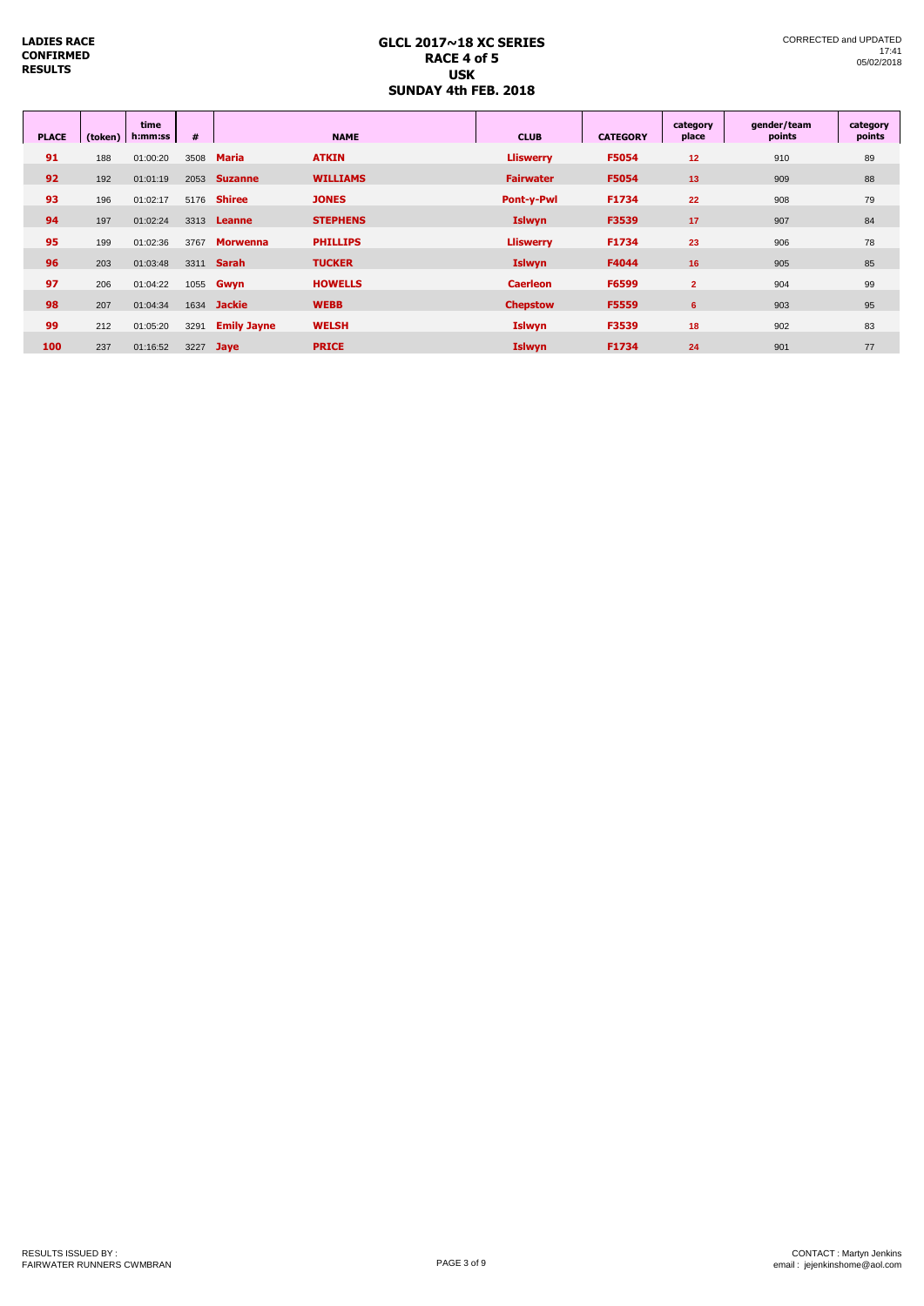#### **GLCL 2017~18 XC SERIES RACE 4 of 5 USK SUNDAY 4th FEB. 2018**

| <b>PLACE</b> | (token) | time<br>h:mm:ss | #    |                    | <b>NAME</b>     | <b>CLUB</b>      | <b>CATEGORY</b> | category<br>place | gender/team<br>points | category<br>points |
|--------------|---------|-----------------|------|--------------------|-----------------|------------------|-----------------|-------------------|-----------------------|--------------------|
| 91           | 188     | 01:00:20        | 3508 | <b>Maria</b>       | <b>ATKIN</b>    | <b>Lliswerry</b> | F5054           | 12                | 910                   | 89                 |
| 92           | 192     | 01:01:19        | 2053 | <b>Suzanne</b>     | <b>WILLIAMS</b> | <b>Fairwater</b> | F5054           | 13                | 909                   | 88                 |
| 93           | 196     | 01:02:17        | 5176 | <b>Shiree</b>      | <b>JONES</b>    | Pont-y-Pwl       | F1734           | 22                | 908                   | 79                 |
| 94           | 197     | 01:02:24        | 3313 | Leanne             | <b>STEPHENS</b> | <b>Islwyn</b>    | F3539           | 17                | 907                   | 84                 |
| 95           | 199     | 01:02:36        | 3767 | <b>Morwenna</b>    | <b>PHILLIPS</b> | <b>Lliswerry</b> | F1734           | 23                | 906                   | 78                 |
| 96           | 203     | 01:03:48        | 3311 | <b>Sarah</b>       | <b>TUCKER</b>   | <b>Islwyn</b>    | F4044           | 16                | 905                   | 85                 |
| 97           | 206     | 01:04:22        |      | 1055 <b>Gwyn</b>   | <b>HOWELLS</b>  | <b>Caerleon</b>  | F6599           | $\overline{2}$    | 904                   | 99                 |
| 98           | 207     | 01:04:34        | 1634 | <b>Jackie</b>      | <b>WEBB</b>     | <b>Chepstow</b>  | F5559           | 6                 | 903                   | 95                 |
| 99           | 212     | 01:05:20        | 3291 | <b>Emily Jayne</b> | <b>WELSH</b>    | <b>Islwyn</b>    | F3539           | 18                | 902                   | 83                 |
| 100          | 237     | 01:16:52        | 3227 | <b>Jaye</b>        | <b>PRICE</b>    | <b>Islwyn</b>    | F1734           | 24                | 901                   | 77                 |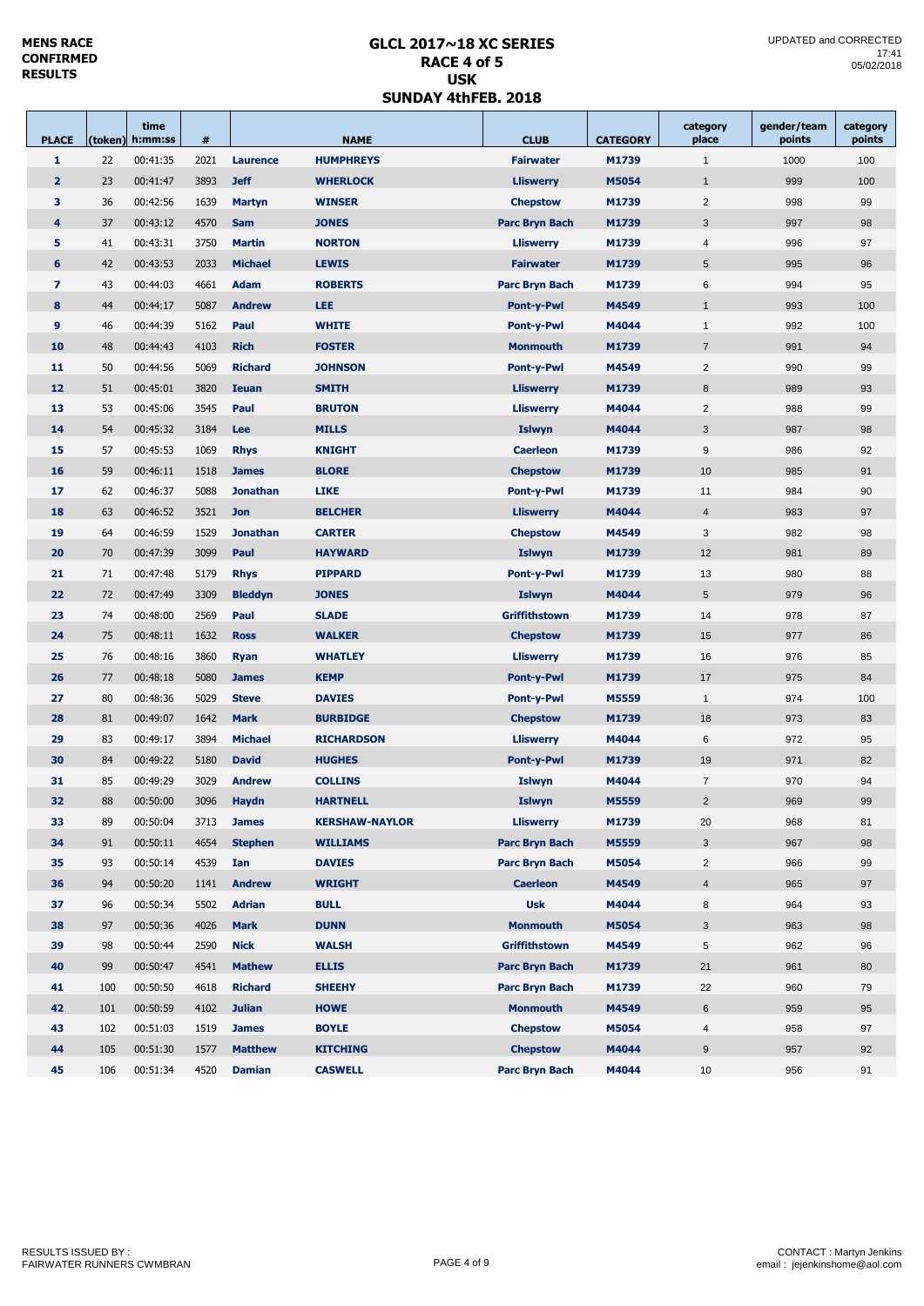## **GLCL 2017~18 XC SERIES RACE 4 of 5 USK SUNDAY 4thFEB. 2018**

| <b>PLACE</b>            |     | time<br>(token) h:mm:ss | #    |                   | <b>NAME</b>           | <b>CLUB</b>              | <b>CATEGORY</b> | category<br>place       | gender/team<br>points | category<br>points |
|-------------------------|-----|-------------------------|------|-------------------|-----------------------|--------------------------|-----------------|-------------------------|-----------------------|--------------------|
| 1                       | 22  | 00:41:35                | 2021 | Laurence          | <b>HUMPHREYS</b>      | <b>Fairwater</b>         | M1739           | $\mathbf{1}$            | 1000                  | 100                |
| $\overline{2}$          | 23  | 00:41:47                | 3893 | <b>Jeff</b>       | <b>WHERLOCK</b>       | <b>Lliswerry</b>         | M5054           | $\mathbf{1}$            | 999                   | 100                |
| 3                       | 36  | 00:42:56                | 1639 | <b>Martyn</b>     | <b>WINSER</b>         | <b>Chepstow</b>          | M1739           | 2                       | 998                   | 99                 |
| 4                       | 37  | 00:43:12                | 4570 | <b>Sam</b>        | <b>JONES</b>          | Parc Bryn Bach           | M1739           | 3                       | 997                   | 98                 |
| 5                       | 41  | 00:43:31                | 3750 | <b>Martin</b>     | <b>NORTON</b>         | <b>Lliswerry</b>         | M1739           | $\overline{4}$          | 996                   | 97                 |
| 6                       | 42  | 00:43:53                | 2033 | <b>Michael</b>    | <b>LEWIS</b>          | <b>Fairwater</b>         | M1739           | 5                       | 995                   | 96                 |
| $\overline{\mathbf{z}}$ | 43  | 00:44:03                | 4661 | <b>Adam</b>       | <b>ROBERTS</b>        | <b>Parc Bryn Bach</b>    | M1739           | 6                       | 994                   | 95                 |
| 8                       | 44  | 00:44:17                | 5087 | <b>Andrew</b>     | <b>LEE</b>            | <b>Pont-y-Pwl</b>        | M4549           | $\mathbf{1}$            | 993                   | 100                |
| 9                       | 46  | 00:44:39                | 5162 | Paul              | <b>WHITE</b>          | <b>Pont-y-Pwl</b>        | M4044           | $\mathbf{1}$            | 992                   | 100                |
| 10                      | 48  | 00:44:43                | 4103 | <b>Rich</b>       | <b>FOSTER</b>         | <b>Monmouth</b>          | M1739           | $\overline{7}$          | 991                   | 94                 |
| 11                      | 50  | 00:44:56                | 5069 | <b>Richard</b>    | <b>JOHNSON</b>        | <b>Pont-y-Pwl</b>        | M4549           | $\overline{2}$          | 990                   | 99                 |
| 12                      | 51  | 00:45:01                | 3820 | <b>Ieuan</b>      | <b>SMITH</b>          | <b>Lliswerry</b>         | M1739           | $\boldsymbol{8}$        | 989                   | 93                 |
| 13                      | 53  | 00:45:06                | 3545 | Paul              | <b>BRUTON</b>         | <b>Lliswerry</b>         | M4044           | $\overline{2}$          | 988                   | 99                 |
| 14                      | 54  | 00:45:32                | 3184 | Lee               | <b>MILLS</b>          | <b>Islwyn</b>            | M4044           | 3                       | 987                   | 98                 |
| 15                      | 57  | 00:45:53                | 1069 | <b>Rhys</b>       | <b>KNIGHT</b>         | <b>Caerleon</b>          | M1739           | 9                       | 986                   | 92                 |
| 16                      | 59  | 00:46:11                | 1518 | <b>James</b>      | <b>BLORE</b>          | <b>Chepstow</b>          | M1739           | 10                      | 985                   | 91                 |
| 17                      | 62  | 00:46:37                | 5088 | <b>Jonathan</b>   | <b>LIKE</b>           | <b>Pont-y-Pwl</b>        | M1739           | 11                      | 984                   | 90                 |
| 18                      | 63  | 00:46:52                | 3521 | <b>Jon</b>        | <b>BELCHER</b>        | <b>Lliswerry</b>         | M4044           | $\overline{4}$          | 983                   | 97                 |
| 19                      | 64  | 00:46:59                | 1529 | <b>Jonathan</b>   | <b>CARTER</b>         | <b>Chepstow</b><br>M4549 |                 | 3                       | 982                   | 98                 |
| 20                      | 70  | 00:47:39                | 3099 | Paul              | <b>HAYWARD</b>        | <b>Islwyn</b>            | M1739           | 12                      | 981                   | 89                 |
| 21                      | 71  | 00:47:48                | 5179 | <b>Rhys</b>       | <b>PIPPARD</b>        | <b>Pont-y-Pwl</b>        | M1739           | 13                      | 980                   | 88                 |
| 22                      | 72  | 00:47:49                | 3309 | <b>Bleddyn</b>    | <b>JONES</b>          | <b>Islwyn</b>            | M4044           | 5                       | 979                   | 96                 |
| 23                      | 74  | 00:48:00                | 2569 | Paul              | <b>SLADE</b>          | Griffithstown            | M1739           | 14                      | 978                   | 87                 |
| 24                      | 75  | 00:48:11                | 1632 | <b>Ross</b>       | <b>WALKER</b>         | <b>Chepstow</b>          | M1739           | 15                      | 977                   | 86                 |
| 25                      | 76  | 00:48:16                | 3860 | <b>Ryan</b>       | <b>WHATLEY</b>        | <b>Lliswerry</b>         | M1739           | 16                      | 976                   | 85                 |
| 26                      | 77  | 00:48:18                | 5080 | <b>James</b>      | <b>KEMP</b>           | <b>Pont-y-Pwl</b>        | M1739           | 17                      | 975                   | 84                 |
| 27                      | 80  | 00:48:36                | 5029 | <b>Steve</b>      | <b>DAVIES</b>         | <b>Pont-y-Pwl</b>        | M5559           | $\mathbf{1}$            | 974                   | 100                |
| 28                      | 81  | 00:49:07                | 1642 | <b>Mark</b>       | <b>BURBIDGE</b>       | <b>Chepstow</b>          | M1739           | 18                      | 973                   | 83                 |
| 29                      | 83  | 00:49:17                | 3894 | <b>Michael</b>    | <b>RICHARDSON</b>     | <b>Lliswerry</b>         | M4044           | 6                       | 972                   | 95                 |
| 30                      | 84  | 00:49:22                | 5180 | <b>David</b>      | <b>HUGHES</b>         | <b>Pont-y-Pwl</b>        | M1739           | 19                      | 971                   | 82                 |
| 31                      | 85  | 00:49:29                | 3029 | <b>Andrew</b>     | <b>COLLINS</b>        | Islwyn                   | M4044           | $\overline{7}$          | 970                   | 94                 |
| 32                      | 88  | 00:50:00                |      | 3096 <b>Haydn</b> | <b>HARTNELL</b>       | Islwyn                   | M5559           | $\overline{2}$          | 969                   | 99                 |
| 33                      | 89  | 00:50:04                | 3713 | <b>James</b>      | <b>KERSHAW-NAYLOR</b> | <b>Lliswerry</b>         | M1739           | 20                      | 968                   | 81                 |
| 34                      | 91  | 00:50:11                | 4654 | <b>Stephen</b>    | <b>WILLIAMS</b>       | Parc Bryn Bach           | M5559           | 3                       | 967                   | 98                 |
| 35                      | 93  | 00:50:14                | 4539 | Ian               | <b>DAVIES</b>         | Parc Bryn Bach           | M5054           | $\overline{2}$          | 966                   | 99                 |
| 36                      | 94  | 00:50:20                | 1141 | <b>Andrew</b>     | <b>WRIGHT</b>         | <b>Caerleon</b>          | M4549           | $\overline{\mathbf{4}}$ | 965                   | 97                 |
| 37                      | 96  | 00:50:34                | 5502 | <b>Adrian</b>     | <b>BULL</b>           | <b>Usk</b>               | M4044           | 8                       | 964                   | 93                 |
| 38                      | 97  | 00:50:36                | 4026 | <b>Mark</b>       | <b>DUNN</b>           | <b>Monmouth</b>          | M5054           | 3                       | 963                   | 98                 |
| 39                      | 98  | 00:50:44                | 2590 | <b>Nick</b>       | <b>WALSH</b>          | Griffithstown            | M4549           | $\,$ 5 $\,$             | 962                   | 96                 |
| 40                      | 99  | 00:50:47                | 4541 | <b>Mathew</b>     | <b>ELLIS</b>          | Parc Bryn Bach           | M1739           | 21                      | 961                   | 80                 |
| 41                      | 100 | 00:50:50                | 4618 | <b>Richard</b>    | <b>SHEEHY</b>         | Parc Bryn Bach           | M1739           | 22                      | 960                   | 79                 |
| 42                      | 101 | 00:50:59                | 4102 | <b>Julian</b>     | <b>HOWE</b>           | <b>Monmouth</b>          | M4549           | 6                       | 959                   | 95                 |
| 43                      | 102 | 00:51:03                | 1519 | <b>James</b>      | <b>BOYLE</b>          | <b>Chepstow</b>          | M5054           | $\overline{4}$          | 958                   | 97                 |
| 44                      | 105 | 00:51:30                | 1577 | <b>Matthew</b>    | <b>KITCHING</b>       | <b>Chepstow</b>          | M4044           | 9                       | 957                   | 92                 |
| 45                      | 106 | 00:51:34                | 4520 | <b>Damian</b>     | <b>CASWELL</b>        | Parc Bryn Bach           | M4044           | 10                      | 956                   | 91                 |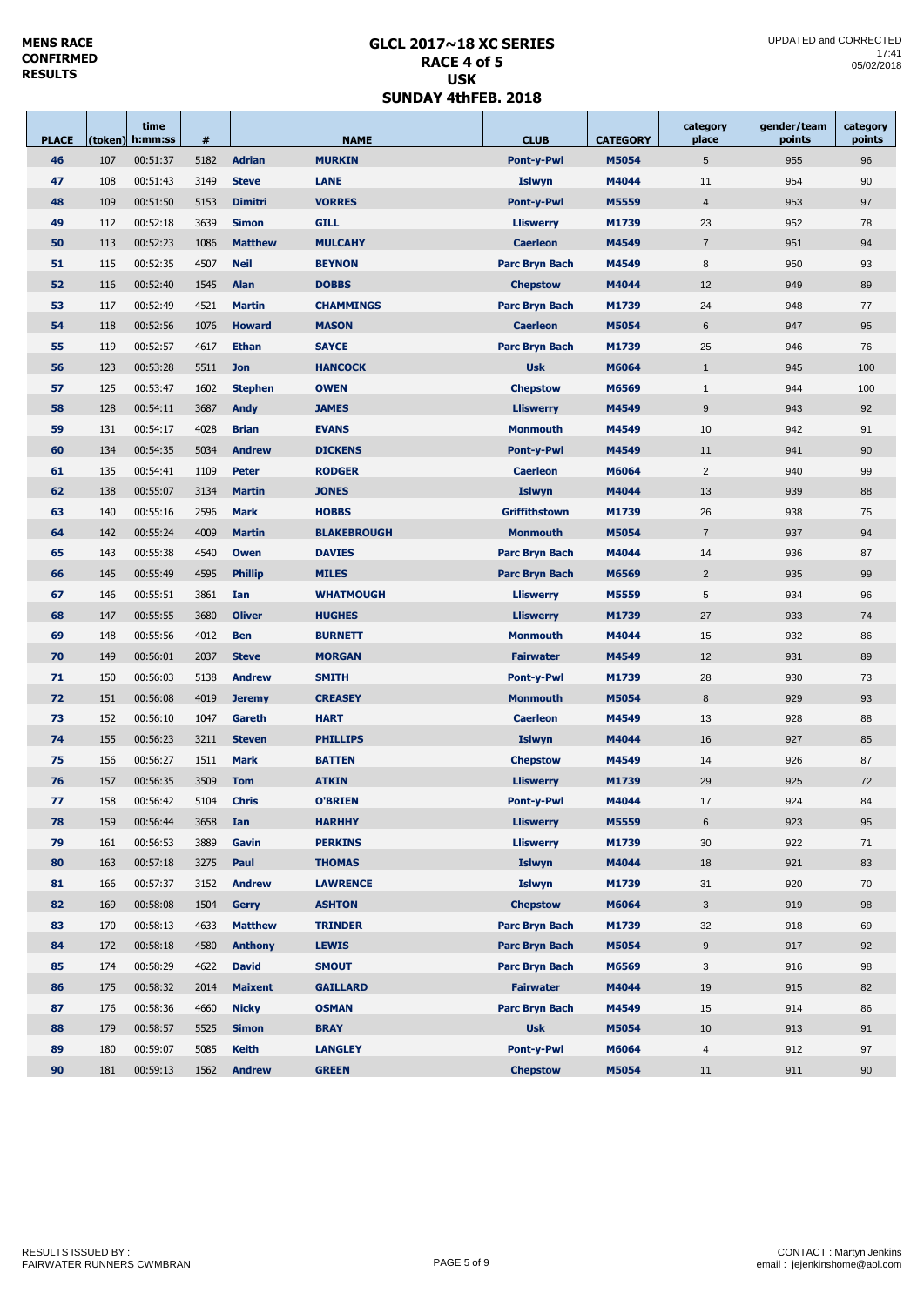## **GLCL 2017~18 XC SERIES RACE 4 of 5 USK SUNDAY 4thFEB. 2018**

| <b>PLACE</b> |     | time<br>(token) h:mm:ss | #    |                | <b>NAME</b>        |                       | <b>CATEGORY</b> | category<br>place | gender/team<br>points | category<br>points |
|--------------|-----|-------------------------|------|----------------|--------------------|-----------------------|-----------------|-------------------|-----------------------|--------------------|
| 46           | 107 | 00:51:37                | 5182 | <b>Adrian</b>  | <b>MURKIN</b>      | Pont-y-Pwl            | M5054           | $5\phantom{.0}$   | 955                   | 96                 |
| 47           | 108 | 00:51:43                | 3149 | <b>Steve</b>   | <b>LANE</b>        | <b>Islwyn</b>         | M4044           | 11                | 954                   | 90                 |
| 48           | 109 | 00:51:50                | 5153 | <b>Dimitri</b> | <b>VORRES</b>      | <b>Pont-y-Pwl</b>     | M5559           | $\overline{4}$    | 953                   | 97                 |
| 49           | 112 | 00:52:18                | 3639 | <b>Simon</b>   | <b>GILL</b>        | <b>Lliswerry</b>      | M1739           | 23                | 952                   | 78                 |
| 50           | 113 | 00:52:23                | 1086 | <b>Matthew</b> | <b>MULCAHY</b>     | <b>Caerleon</b>       | M4549           | $\overline{7}$    | 951                   | 94                 |
| 51           | 115 | 00:52:35                | 4507 | <b>Neil</b>    | <b>BEYNON</b>      | <b>Parc Bryn Bach</b> | M4549           | 8                 | 950                   | 93                 |
| 52           | 116 | 00:52:40                | 1545 | <b>Alan</b>    | <b>DOBBS</b>       | <b>Chepstow</b>       | M4044           | 12                | 949                   | 89                 |
| 53           | 117 | 00:52:49                | 4521 | <b>Martin</b>  | <b>CHAMMINGS</b>   | Parc Bryn Bach        | M1739           | 24                | 948                   | 77                 |
| 54           | 118 | 00:52:56                | 1076 | <b>Howard</b>  | <b>MASON</b>       | <b>Caerleon</b>       | M5054           | 6                 | 947                   | 95                 |
| 55           | 119 | 00:52:57                | 4617 | <b>Ethan</b>   | <b>SAYCE</b>       | <b>Parc Bryn Bach</b> | M1739           | 25                | 946                   | 76                 |
| 56           | 123 | 00:53:28                | 5511 | <b>Jon</b>     | <b>HANCOCK</b>     | <b>Usk</b>            | M6064           | $\mathbf{1}$      | 945                   | 100                |
| 57           | 125 | 00:53:47                | 1602 | <b>Stephen</b> | <b>OWEN</b>        | <b>Chepstow</b>       | M6569           | $\mathbf{1}$      | 944                   | 100                |
| 58           | 128 | 00:54:11                | 3687 | <b>Andy</b>    | <b>JAMES</b>       | <b>Lliswerry</b>      | M4549           | $9\,$             | 943                   | 92                 |
| 59           | 131 | 00:54:17                | 4028 | <b>Brian</b>   | <b>EVANS</b>       | <b>Monmouth</b>       | M4549           | 10                | 942                   | 91                 |
| 60           | 134 | 00:54:35                | 5034 | <b>Andrew</b>  | <b>DICKENS</b>     | <b>Pont-y-Pwl</b>     | M4549           | 11                | 941                   | 90                 |
| 61           | 135 | 00:54:41                | 1109 | Peter          | <b>RODGER</b>      | <b>Caerleon</b>       | M6064           | $\overline{c}$    | 940                   | 99                 |
| 62           | 138 | 00:55:07                | 3134 | <b>Martin</b>  | <b>JONES</b>       | <b>Islwyn</b>         | M4044           | 13                | 939                   | 88                 |
| 63           | 140 | 00:55:16                | 2596 | <b>Mark</b>    | <b>HOBBS</b>       | <b>Griffithstown</b>  | M1739           | 26                | 938                   | 75                 |
| 64           | 142 | 00:55:24                | 4009 | <b>Martin</b>  | <b>BLAKEBROUGH</b> | <b>Monmouth</b>       | M5054           | $\overline{7}$    | 937                   | 94                 |
| 65           | 143 | 00:55:38                | 4540 | Owen           | <b>DAVIES</b>      | Parc Bryn Bach        | M4044           | 14                | 936                   | 87                 |
| 66           | 145 | 00:55:49                | 4595 | <b>Phillip</b> | <b>MILES</b>       | <b>Parc Bryn Bach</b> | M6569           | $\overline{2}$    | 935                   | 99                 |
| 67           | 146 | 00:55:51                | 3861 | Ian            | <b>WHATMOUGH</b>   | <b>Lliswerry</b>      | M5559           | 5                 | 934                   | 96                 |
| 68           | 147 | 00:55:55                | 3680 | <b>Oliver</b>  | <b>HUGHES</b>      | <b>Lliswerry</b>      | M1739           | 27                | 933                   | 74                 |
| 69           | 148 | 00:55:56                | 4012 | <b>Ben</b>     | <b>BURNETT</b>     | <b>Monmouth</b>       | M4044           | 15                | 932                   | 86                 |
| 70           | 149 | 00:56:01                | 2037 | <b>Steve</b>   | <b>MORGAN</b>      | <b>Fairwater</b>      | M4549           | 12                | 931                   | 89                 |
| 71           | 150 | 00:56:03                | 5138 | <b>Andrew</b>  | <b>SMITH</b>       | <b>Pont-y-Pwl</b>     | M1739           | 28                | 930                   | 73                 |
| 72           | 151 | 00:56:08                | 4019 | <b>Jeremy</b>  | <b>CREASEY</b>     | <b>Monmouth</b>       | M5054           | 8                 | 929                   | 93                 |
| 73           | 152 | 00:56:10                | 1047 | Gareth         | <b>HART</b>        | <b>Caerleon</b>       | M4549           | 13                | 928                   | 88                 |
| 74           | 155 | 00:56:23                | 3211 | <b>Steven</b>  | <b>PHILLIPS</b>    | <b>Islwyn</b>         | M4044           | 16                | 927                   | 85                 |
| 75           | 156 | 00:56:27                | 1511 | <b>Mark</b>    | <b>BATTEN</b>      | <b>Chepstow</b>       | M4549           | 14                | 926                   | 87                 |
| 76           | 157 | 00:56:35                | 3509 | <b>Tom</b>     | <b>ATKIN</b>       | <b>Lliswerry</b>      | M1739           | 29                | 925                   | 72                 |
| 77           | 158 | 00:56:42                | 5104 | <b>Chris</b>   | <b>O'BRIEN</b>     | <b>Pont-y-Pwl</b>     | M4044           | 17                | 924                   | 84                 |
| 78           | 159 | 00:56:44                | 3658 | Ian            | <b>HARHHY</b>      | <b>Lliswerry</b>      | M5559           | $\,6$             | 923                   | 95                 |
| 79           | 161 | 00:56:53                | 3889 | Gavin          | <b>PERKINS</b>     | <b>Lliswerry</b>      | M1739           | 30                | 922                   | 71                 |
| 80           | 163 | 00:57:18                | 3275 | Paul           | <b>THOMAS</b>      | <b>Islwyn</b>         | M4044           | 18                | 921                   | 83                 |
| 81           | 166 | 00:57:37                | 3152 | <b>Andrew</b>  | <b>LAWRENCE</b>    | Islwyn                | M1739           | 31                | 920                   | 70                 |
| 82           | 169 | 00:58:08                | 1504 | <b>Gerry</b>   | <b>ASHTON</b>      | <b>Chepstow</b>       | M6064           | 3                 | 919                   | 98                 |
| 83           | 170 | 00:58:13                | 4633 | <b>Matthew</b> | <b>TRINDER</b>     | Parc Bryn Bach        | M1739           | 32                | 918                   | 69                 |
| 84           | 172 | 00:58:18                | 4580 | <b>Anthony</b> | <b>LEWIS</b>       | Parc Bryn Bach        | M5054           | 9                 | 917                   | 92                 |
| 85           | 174 | 00:58:29                | 4622 | <b>David</b>   | <b>SMOUT</b>       | <b>Parc Bryn Bach</b> | M6569           | 3                 | 916                   | 98                 |
| 86           | 175 | 00:58:32                | 2014 | <b>Maixent</b> | <b>GAILLARD</b>    | <b>Fairwater</b>      | M4044           | 19                | 915                   | 82                 |
| 87           | 176 | 00:58:36                | 4660 | <b>Nicky</b>   | <b>OSMAN</b>       | Parc Bryn Bach        | M4549           | 15                | 914                   | 86                 |
| 88           | 179 | 00:58:57                | 5525 | <b>Simon</b>   | <b>BRAY</b>        | <b>Usk</b>            | M5054           | 10                | 913                   | 91                 |
| 89           | 180 | 00:59:07                | 5085 | <b>Keith</b>   | <b>LANGLEY</b>     | Pont-y-Pwl            | M6064           | $\overline{4}$    | 912                   | 97                 |
| 90           | 181 | 00:59:13                | 1562 | <b>Andrew</b>  | <b>GREEN</b>       | <b>Chepstow</b>       | M5054           | 11                | 911                   | 90                 |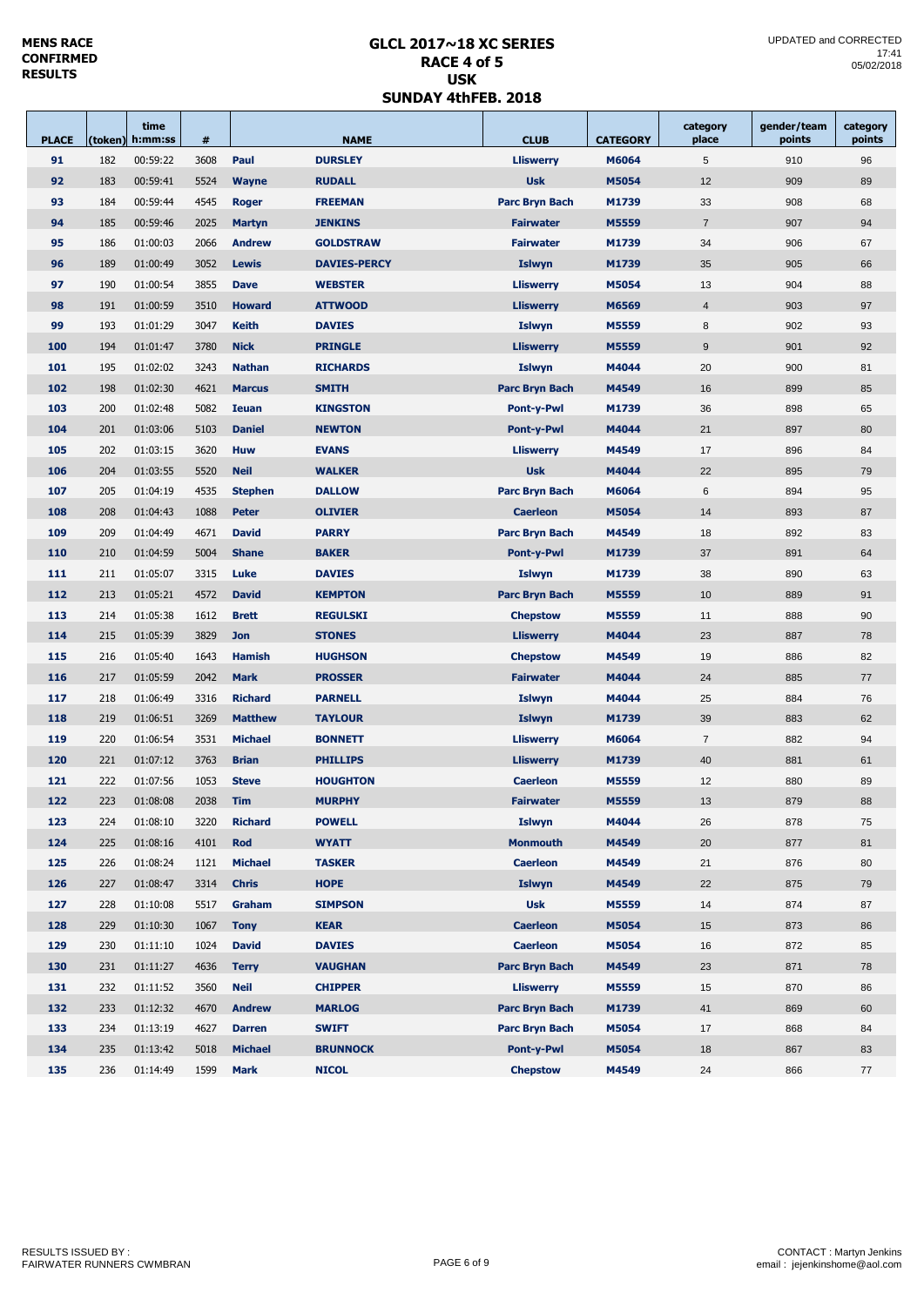## **GLCL 2017~18 XC SERIES RACE 4 of 5 USK SUNDAY 4thFEB. 2018**

| <b>PLACE</b> |     | time<br>(token) h:mm:ss | #               |                | <b>NAME</b>         | <b>CLUB</b>           | <b>CATEGORY</b> | category<br>place | gender/team<br>points | category<br>points |
|--------------|-----|-------------------------|-----------------|----------------|---------------------|-----------------------|-----------------|-------------------|-----------------------|--------------------|
| 91           | 182 | 00:59:22                | 3608            | Paul           | <b>DURSLEY</b>      | <b>Lliswerry</b>      | M6064           | 5                 | 910                   | 96                 |
| 92           | 183 | 00:59:41                | 5524            | <b>Wayne</b>   | <b>RUDALL</b>       | <b>Usk</b>            | M5054           | 12                | 909                   | 89                 |
| 93           | 184 | 00:59:44                | 4545            | Roger          | <b>FREEMAN</b>      | <b>Parc Bryn Bach</b> | M1739           | 33                | 908                   | 68                 |
| 94           | 185 | 00:59:46                | 2025            | <b>Martyn</b>  | <b>JENKINS</b>      | <b>Fairwater</b>      | M5559           | $\overline{7}$    | 907                   | 94                 |
| 95           | 186 | 01:00:03                | 2066            | <b>Andrew</b>  | <b>GOLDSTRAW</b>    | <b>Fairwater</b>      | M1739           | 34                | 906                   | 67                 |
| 96           | 189 | 01:00:49                | 3052            | <b>Lewis</b>   | <b>DAVIES-PERCY</b> | <b>Islwyn</b>         | M1739           | 35                | 905                   | 66                 |
| 97           | 190 | 01:00:54                | 3855            | <b>Dave</b>    | <b>WEBSTER</b>      | <b>Lliswerry</b>      | M5054           | 13                | 904                   | 88                 |
| 98           | 191 | 01:00:59                | 3510            | <b>Howard</b>  | <b>ATTWOOD</b>      | <b>Lliswerry</b>      | M6569           | $\sqrt{4}$        | 903                   | 97                 |
| 99           | 193 | 01:01:29                | 3047            | <b>Keith</b>   | <b>DAVIES</b>       | <b>Islwyn</b>         | M5559           | 8                 | 902                   | 93                 |
| 100          | 194 | 01:01:47                | 3780            | <b>Nick</b>    | <b>PRINGLE</b>      | <b>Lliswerry</b>      | M5559           | $9\,$             | 901                   | 92                 |
| 101          | 195 | 01:02:02                | 3243            | <b>Nathan</b>  | <b>RICHARDS</b>     | <b>Islwyn</b>         | M4044           | 20                | 900                   | 81                 |
| 102          | 198 | 01:02:30                | 4621            | <b>Marcus</b>  | <b>SMITH</b>        | Parc Bryn Bach        | M4549           | 16                | 899                   | 85                 |
| 103          | 200 | 01:02:48                | 5082            | <b>Ieuan</b>   | <b>KINGSTON</b>     | Pont-y-Pwl            | M1739           | 36                | 898                   | 65                 |
| 104          | 201 | 01:03:06                | 5103            | <b>Daniel</b>  | <b>NEWTON</b>       | <b>Pont-y-Pwl</b>     | M4044           | 21                | 897                   | 80                 |
| 105          | 202 | 01:03:15                | 3620            | <b>Huw</b>     | <b>EVANS</b>        | <b>Lliswerry</b>      | M4549           | 17                | 896                   | 84                 |
| 106          | 204 | 01:03:55                | 5520            | <b>Neil</b>    | <b>WALKER</b>       | <b>Usk</b>            | M4044           | 22                | 895                   | 79                 |
| 107          | 205 | 01:04:19                | 4535            | <b>Stephen</b> | <b>DALLOW</b>       | Parc Bryn Bach        | M6064           | 6                 | 894                   | 95                 |
| 108          | 208 | 01:04:43                | 1088            | <b>Peter</b>   | <b>OLIVIER</b>      | <b>Caerleon</b>       | M5054           | 14                | 893                   | 87                 |
| 109          | 209 | 01:04:49                | 4671            | <b>David</b>   | <b>PARRY</b>        | <b>Parc Bryn Bach</b> | M4549           | 18                | 892                   | 83                 |
| 110          | 210 | 01:04:59                | 5004            | <b>Shane</b>   | <b>BAKER</b>        | <b>Pont-y-Pwl</b>     | M1739           | 37                | 891                   | 64                 |
| 111          | 211 | 01:05:07                | 3315            | Luke           | <b>DAVIES</b>       | <b>Islwyn</b>         | M1739           | 38                | 890                   | 63                 |
| 112          | 213 | 01:05:21                | 4572            | <b>David</b>   | <b>KEMPTON</b>      | Parc Bryn Bach        | M5559           | 10                | 889                   | 91                 |
| 113          | 214 | 01:05:38                | 1612            | <b>Brett</b>   | <b>REGULSKI</b>     | <b>Chepstow</b>       | M5559           | 11                | 888                   | 90                 |
| 114          | 215 | 01:05:39                | 3829            | <b>Jon</b>     | <b>STONES</b>       | <b>Lliswerry</b>      | M4044           | 23                | 887                   | 78                 |
| 115          | 216 | 01:05:40                | 1643            | <b>Hamish</b>  | <b>HUGHSON</b>      | <b>Chepstow</b>       | M4549           | 19                | 886                   | 82                 |
| 116          | 217 | 01:05:59                | 2042            | <b>Mark</b>    | <b>PROSSER</b>      | <b>Fairwater</b>      | M4044           | 24                | 885                   | 77                 |
| 117          | 218 | 01:06:49                | 3316            | <b>Richard</b> | <b>PARNELL</b>      | <b>Islwyn</b>         | M4044           | 25                | 884                   | 76                 |
| 118          | 219 | 01:06:51                | 3269            | <b>Matthew</b> | <b>TAYLOUR</b>      | <b>Islwyn</b>         | M1739           | 39                | 883                   | 62                 |
| 119          | 220 | 01:06:54                | 3531            | <b>Michael</b> | <b>BONNETT</b>      | <b>Lliswerry</b>      | M6064           | $\overline{7}$    | 882                   | 94                 |
| 120          | 221 | 01:07:12                | 3763            | <b>Brian</b>   | <b>PHILLIPS</b>     | <b>Lliswerry</b>      | M1739           | 40                | 881                   | 61                 |
| 121          | 222 | 01:07:56                | 1053            | <b>Steve</b>   | <b>HOUGHTON</b>     | <b>Caerleon</b>       | M5559           | 12                | 880                   | 89                 |
| 122          | 223 | 01:08:08                | 2038 <b>Tim</b> |                | <b>MURPHY</b>       | <b>Fairwater</b>      | M5559           | 13                | 879                   | 88                 |
| 123          | 224 | 01:08:10                | 3220            | <b>Richard</b> | <b>POWELL</b>       | Islwyn                | M4044           | 26                | 878                   | 75                 |
| 124          | 225 | 01:08:16                | 4101            | Rod            | <b>WYATT</b>        | <b>Monmouth</b>       | M4549           | 20                | 877                   | 81                 |
| 125          | 226 | 01:08:24                | 1121            | <b>Michael</b> | <b>TASKER</b>       | <b>Caerleon</b>       | M4549           | 21                | 876                   | 80                 |
| 126          | 227 | 01:08:47                | 3314            | <b>Chris</b>   | <b>HOPE</b>         | <b>Islwyn</b>         | M4549           | 22                | 875                   | 79                 |
| 127          | 228 | 01:10:08                | 5517            | Graham         | <b>SIMPSON</b>      | <b>Usk</b>            | M5559           | 14                | 874                   | 87                 |
| 128          | 229 | 01:10:30                | 1067            | <b>Tony</b>    | <b>KEAR</b>         | <b>Caerleon</b>       | M5054           | 15                | 873                   | 86                 |
| 129          | 230 | 01:11:10                | 1024            | <b>David</b>   | <b>DAVIES</b>       | <b>Caerleon</b>       | M5054           | 16                | 872                   | 85                 |
| 130          | 231 | 01:11:27                | 4636            | <b>Terry</b>   | <b>VAUGHAN</b>      | Parc Bryn Bach        | M4549           | 23                | 871                   | 78                 |
| 131          | 232 | 01:11:52                | 3560            | <b>Neil</b>    | <b>CHIPPER</b>      | <b>Lliswerry</b>      | M5559           | 15                | 870                   | 86                 |
| 132          | 233 | 01:12:32                | 4670            | <b>Andrew</b>  | <b>MARLOG</b>       | Parc Bryn Bach        | M1739           | 41                | 869                   | 60                 |
| 133          | 234 | 01:13:19                | 4627            | <b>Darren</b>  | <b>SWIFT</b>        |                       | M5054           | 17                | 868                   | 84                 |
| 134          | 235 | 01:13:42                | 5018            | <b>Michael</b> | <b>BRUNNOCK</b>     | Pont-y-Pwl            | M5054           | 18                | 867                   | 83                 |
| 135          | 236 | 01:14:49                | 1599            | <b>Mark</b>    | <b>NICOL</b>        | <b>Chepstow</b>       | M4549           | 24                | 866                   | 77                 |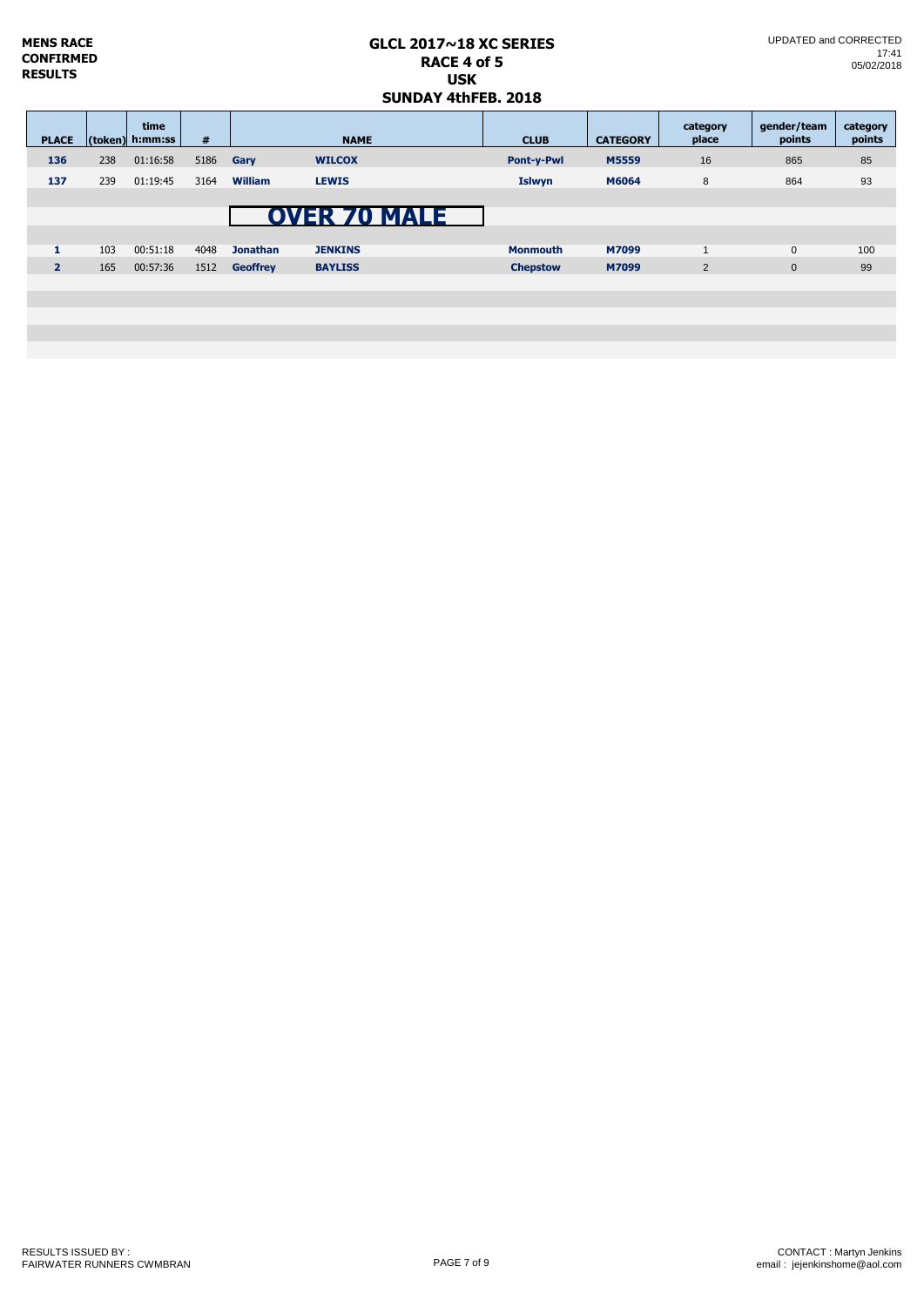| <b>MENS RACE</b><br>CONFIRMED<br><b>RESULTS</b> |     |                         | $GLCL$ 2017 $\sim$ 18 XC SERIES<br>RACE 4 of 5<br><b>USK</b><br><b>SUNDAY 4thFEB, 2018</b> |                 |                                       |  |                 |                 | UPDATED and CORRECTED<br>17:41<br>05/02/2018 |                       |                    |
|-------------------------------------------------|-----|-------------------------|--------------------------------------------------------------------------------------------|-----------------|---------------------------------------|--|-----------------|-----------------|----------------------------------------------|-----------------------|--------------------|
| <b>PLACE</b>                                    |     | time<br>(token) h:mm:ss | #                                                                                          |                 | <b>NAME</b>                           |  | <b>CLUB</b>     | <b>CATEGORY</b> | category<br>place                            | gender/team<br>points | category<br>points |
| 136                                             | 238 | 01:16:58                | 5186                                                                                       | Gary            | <b>WILCOX</b>                         |  | Pont-y-Pwl      | M5559           | 16                                           | 865                   | 85                 |
| 137                                             | 239 | 01:19:45                | 3164                                                                                       | <b>William</b>  | <b>LEWIS</b>                          |  | <b>Islwyn</b>   | M6064           | 8                                            | 864                   | 93                 |
| 1                                               | 103 | 00:51:18                | 4048                                                                                       | <b>Jonathan</b> | <b>OVER 70 MALE</b><br><b>JENKINS</b> |  | <b>Monmouth</b> | M7099           | $\mathbf{1}$                                 | $\mathbf 0$           | 100                |
| 2 <sup>1</sup>                                  | 165 | 00:57:36                | 1512                                                                                       | <b>Geoffrey</b> | <b>BAYLISS</b>                        |  | <b>Chepstow</b> | M7099           | $\overline{2}$                               | $\mathbf{0}$          | 99                 |
|                                                 |     |                         |                                                                                            |                 |                                       |  |                 |                 |                                              |                       |                    |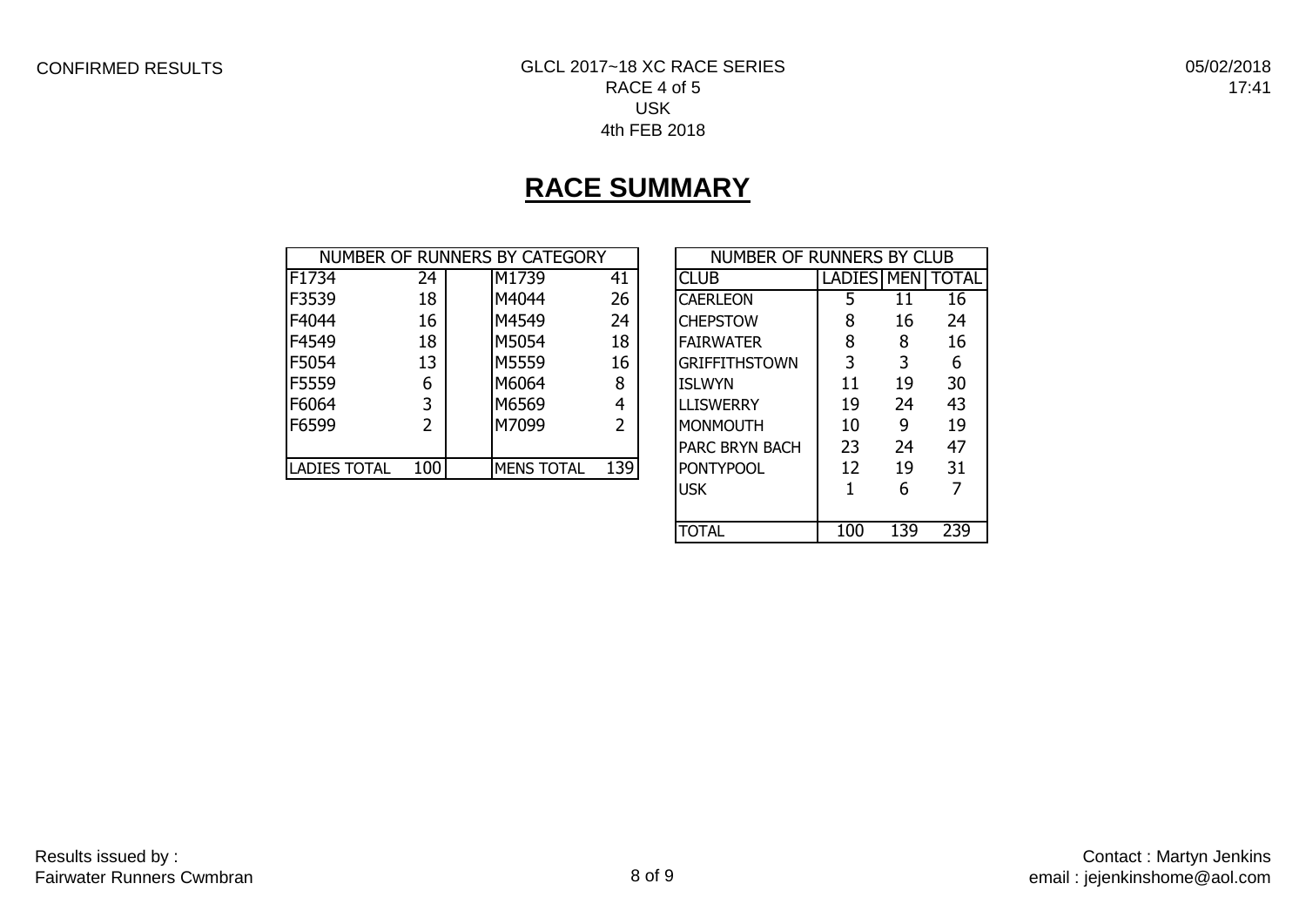## CONFIRMED RESULTS GLCL 2017~18 XC RACE SERIES RACE 4 of 5 USK 4th FEB 2018

05/02/2018 17:41

# **RACE SUMMARY**

|                     |     | NUMBER OF RUNNERS BY CATEGORY |     | NUMBER OF RUNNERS BY CLUB |            |    |              |
|---------------------|-----|-------------------------------|-----|---------------------------|------------|----|--------------|
| F1734               | 24  | M1739                         | 41  | <b>CLUB</b>               | LADIES MEN |    | <b>TOTAL</b> |
| F3539               | 18  | M4044                         | 26  | <b>CAERLEON</b>           |            | 11 | 16           |
| F4044               | 16  | M4549                         | 24  | <b>CHEPSTOW</b>           | 8          | 16 | 24           |
| F4549               | 18  | M5054                         | 18  | <b>FAIRWATER</b>          | 8          | 8  | 16           |
| F5054               | 13  | M5559                         | 16  | <b>GRIFFITHSTOWN</b>      | 3          | 3  | 6            |
| F5559               | 6   | M6064                         | 8   | <b>ISLWYN</b>             | 11         | 19 | 30           |
| F6064               | 3   | M6569                         | 4   | <b>LLISWERRY</b>          | 19         | 24 | 43           |
| F6599               |     | M7099                         | 2   | MONMOUTH                  | 10         | 9  | 19           |
|                     |     |                               |     | <b>PARC BRYN BACH</b>     | 23         | 24 | 47           |
| <b>LADIES TOTAL</b> | 100 | <b>MENS TOTAL</b>             | 139 | <b>PONTYPOOL</b>          | 12         | 19 | 31           |

| NUMBER OF RUNNERS BY CLUB |                   |     |              |  |  |  |  |  |  |
|---------------------------|-------------------|-----|--------------|--|--|--|--|--|--|
| CI UB                     | <b>LADIES MEN</b> |     | <b>TOTAL</b> |  |  |  |  |  |  |
| CAERLEON                  | 5                 | 11  | 16           |  |  |  |  |  |  |
| <b>CHEPSTOW</b>           | 8                 | 16  | 24           |  |  |  |  |  |  |
| <b>FAIRWATER</b>          | 8                 | 8   | 16           |  |  |  |  |  |  |
| GRIFFITHSTOWN             | 3                 | 3   | 6            |  |  |  |  |  |  |
| <b>ISLWYN</b>             | 11                | 19  | 30           |  |  |  |  |  |  |
| LLISWERRY                 | 19                | 24  | 43           |  |  |  |  |  |  |
| <b>MONMOUTH</b>           | 10                | 9   | 19           |  |  |  |  |  |  |
| <b>PARC BRYN BACH</b>     | 23                | 24  | 47           |  |  |  |  |  |  |
| <b>PONTYPOOL</b>          | 12                | 19  | 31           |  |  |  |  |  |  |
| <b>USK</b>                | 1                 | 6   |              |  |  |  |  |  |  |
|                           |                   |     |              |  |  |  |  |  |  |
| TOTAL                     | 100               | 139 | 239          |  |  |  |  |  |  |